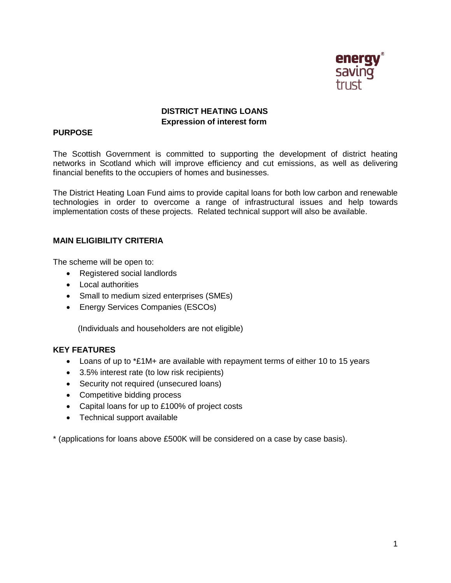

# **DISTRICT HEATING LOANS Expression of interest form**

#### **PURPOSE**

The Scottish Government is committed to supporting the development of district heating networks in Scotland which will improve efficiency and cut emissions, as well as delivering financial benefits to the occupiers of homes and businesses.

The District Heating Loan Fund aims to provide capital loans for both low carbon and renewable technologies in order to overcome a range of infrastructural issues and help towards implementation costs of these projects. Related technical support will also be available.

### **MAIN ELIGIBILITY CRITERIA**

The scheme will be open to:

- Registered social landlords
- Local authorities
- Small to medium sized enterprises (SMEs)
- Energy Services Companies (ESCOs)

(Individuals and householders are not eligible)

## **KEY FEATURES**

- Loans of up to  $*E1M+$  are available with repayment terms of either 10 to 15 years
- 3.5% interest rate (to low risk recipients)
- Security not required (unsecured loans)
- Competitive bidding process
- Capital loans for up to £100% of project costs
- Technical support available

\* (applications for loans above £500K will be considered on a case by case basis).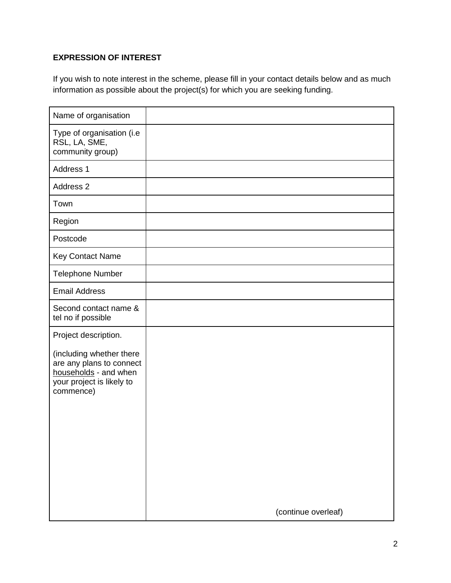# **EXPRESSION OF INTEREST**

If you wish to note interest in the scheme, please fill in your contact details below and as much information as possible about the project(s) for which you are seeking funding.

| Name of organisation                                                                                                    |                     |
|-------------------------------------------------------------------------------------------------------------------------|---------------------|
| Type of organisation (i.e<br>RSL, LA, SME,<br>community group)                                                          |                     |
| Address 1                                                                                                               |                     |
| Address 2                                                                                                               |                     |
| Town                                                                                                                    |                     |
| Region                                                                                                                  |                     |
| Postcode                                                                                                                |                     |
| Key Contact Name                                                                                                        |                     |
| <b>Telephone Number</b>                                                                                                 |                     |
| <b>Email Address</b>                                                                                                    |                     |
| Second contact name &<br>tel no if possible                                                                             |                     |
| Project description.                                                                                                    |                     |
| (including whether there<br>are any plans to connect<br>households - and when<br>your project is likely to<br>commence) |                     |
|                                                                                                                         |                     |
|                                                                                                                         | (continue overleaf) |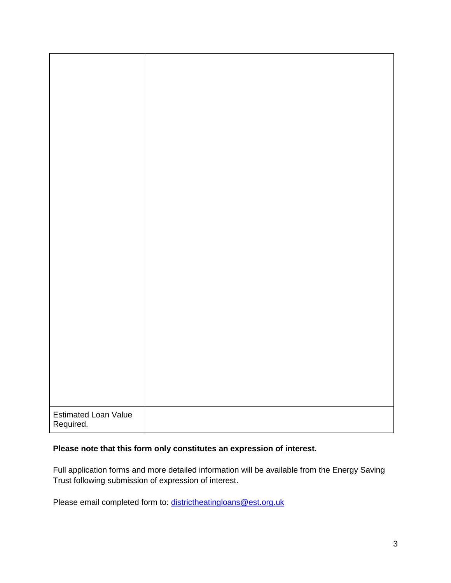| <b>Estimated Loan Value</b><br>Required. |  |
|------------------------------------------|--|

## **Please note that this form only constitutes an expression of interest.**

Full application forms and more detailed information will be available from the Energy Saving Trust following submission of expression of interest.

Please email completed form to: [districtheatingloans@est.org.uk](mailto:districtheatingloans@est.org.uk)